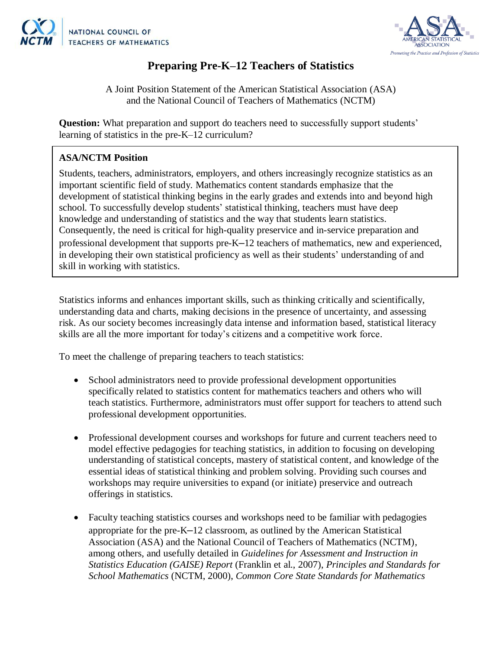



## **Preparing Pre-K–12 Teachers of Statistics**

A Joint Position Statement of the American Statistical Association (ASA) and the National Council of Teachers of Mathematics (NCTM)

**Question:** What preparation and support do teachers need to successfully support students' learning of statistics in the pre-K–12 curriculum?

## **ASA/NCTM Position**

Students, teachers, administrators, employers, and others increasingly recognize statistics as an important scientific field of study. Mathematics content standards emphasize that the development of statistical thinking begins in the early grades and extends into and beyond high school. To successfully develop students' statistical thinking, teachers must have deep knowledge and understanding of statistics and the way that students learn statistics. Consequently, the need is critical for high-quality preservice and in-service preparation and professional development that supports pre-K**–**12 teachers of mathematics, new and experienced, in developing their own statistical proficiency as well as their students' understanding of and skill in working with statistics.

Statistics informs and enhances important skills, such as thinking critically and scientifically, understanding data and charts, making decisions in the presence of uncertainty, and assessing risk. As our society becomes increasingly data intense and information based, statistical literacy skills are all the more important for today's citizens and a competitive work force.

To meet the challenge of preparing teachers to teach statistics:

- School administrators need to provide professional development opportunities specifically related to statistics content for mathematics teachers and others who will teach statistics. Furthermore, administrators must offer support for teachers to attend such professional development opportunities.
- Professional development courses and workshops for future and current teachers need to model effective pedagogies for teaching statistics, in addition to focusing on developing understanding of statistical concepts, mastery of statistical content, and knowledge of the essential ideas of statistical thinking and problem solving. Providing such courses and workshops may require universities to expand (or initiate) preservice and outreach offerings in statistics.
- Faculty teaching statistics courses and workshops need to be familiar with pedagogies appropriate for the pre-K**–**12 classroom, as outlined by the American Statistical Association (ASA) and the National Council of Teachers of Mathematics (NCTM), among others, and usefully detailed in *Guidelines for Assessment and Instruction in Statistics Education (GAISE) Report* (Franklin et al., 2007), *Principles and Standards for School Mathematics* (NCTM, 2000), *Common Core State Standards for Mathematics*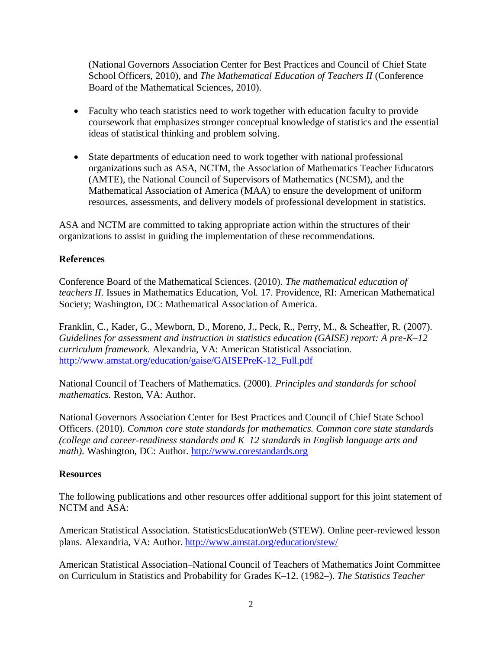(National Governors Association Center for Best Practices and Council of Chief State School Officers, 2010), and *The Mathematical Education of Teachers II* (Conference Board of the Mathematical Sciences, 2010).

- Faculty who teach statistics need to work together with education faculty to provide coursework that emphasizes stronger conceptual knowledge of statistics and the essential ideas of statistical thinking and problem solving.
- State departments of education need to work together with national professional organizations such as ASA, NCTM, the Association of Mathematics Teacher Educators (AMTE), the National Council of Supervisors of Mathematics (NCSM), and the Mathematical Association of America (MAA) to ensure the development of uniform resources, assessments, and delivery models of professional development in statistics.

ASA and NCTM are committed to taking appropriate action within the structures of their organizations to assist in guiding the implementation of these recommendations.

## **References**

Conference Board of the Mathematical Sciences. (2010). *The mathematical education of teachers II*. Issues in Mathematics Education, Vol. 17. Providence, RI: American Mathematical Society; Washington, DC: Mathematical Association of America.

Franklin, C., Kader, G., Mewborn, D., Moreno, J., Peck, R., Perry, M., & Scheaffer, R. (2007). *Guidelines for assessment and instruction in statistics education (GAISE) report: A pre-K–12 curriculum framework.* Alexandria, VA: American Statistical Association. [http://www.amstat.org/education/gaise/GAISEPreK-12\\_Full.pdf](http://www.amstat.org/education/gaise/GAISEPreK-12_Full.pdf)

National Council of Teachers of Mathematics. (2000). *Principles and standards for school mathematics.* Reston, VA: Author.

National Governors Association Center for Best Practices and Council of Chief State School Officers. (2010). *Common core state standards for mathematics. Common core state standards (college and career-readiness standards and K–12 standards in English language arts and math).* Washington, DC: Author. [http://www.corestandards.org](http://www.corestandards.org/)

## **Resources**

The following publications and other resources offer additional support for this joint statement of NCTM and ASA:

American Statistical Association. StatisticsEducationWeb (STEW). Online peer-reviewed lesson plans. Alexandria, VA: Author. <http://www.amstat.org/education/stew/>

American Statistical Association–National Council of Teachers of Mathematics Joint Committee on Curriculum in Statistics and Probability for Grades K–12. (1982–). *The Statistics Teacher*